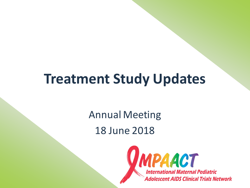## **Treatment Study Updates**

Annual Meeting 18 June 2018

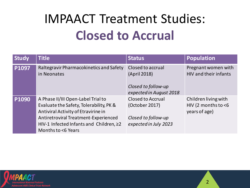# IMPAACT Treatment Studies: **Closed to Accrual**

| <b>Study</b> | <b>Title</b>                                                                                                                                                                                                                  | <b>Status</b>                                                                              | <b>Population</b>                                               |
|--------------|-------------------------------------------------------------------------------------------------------------------------------------------------------------------------------------------------------------------------------|--------------------------------------------------------------------------------------------|-----------------------------------------------------------------|
| P1097        | Raltegravir Pharmacokinetics and Safety<br>in Neonates                                                                                                                                                                        | Closed to accrual<br>(April 2018)<br>Closed to follow-up<br>expected in August 2018        | Pregnant women with<br><b>HIV and their infants</b>             |
| P1090        | A Phase II/III Open-Label Trial to<br>Evaluate the Safety, Tolerability, PK &<br>Antiviral Activity of Etravirine in<br>Antiretroviral Treatment-Experienced<br>HIV-1 Infected Infants and Children, ≥2<br>Months to <6 Years | <b>Closed to Accrual</b><br>(October 2017)<br>Closed to follow-up<br>expected in July 2023 | Children living with<br>HIV (2 months to $<$ 6<br>years of age) |

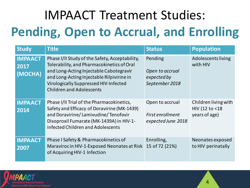# IMPAACT Treatment Studies: **Pending, Open to Accrual, and Enrolling**

| <b>Study</b>                      | <b>Title</b>                                                                                                                                                                                                                                                     | <b>Status</b>                                               | <b>Population</b>                                       |
|-----------------------------------|------------------------------------------------------------------------------------------------------------------------------------------------------------------------------------------------------------------------------------------------------------------|-------------------------------------------------------------|---------------------------------------------------------|
| <b>IMPAACT</b><br>2017<br>(MOCHA) | Phase I/II Study of the Safety, Acceptability,<br>Tolerability, and Pharmacokinetics of Oral<br>and Long-Acting Injectable Cabotegravir<br>and Long-Acting Injectable Rilpivirine in<br>Virologically Suppressed HIV-Infected<br><b>Children and Adolescents</b> | Pending<br>Open to accrual<br>expected by<br>September 2018 | Adolescents living<br>with HIV                          |
| <b>IMPAACT</b><br>2014            | Phase I/II Trial of the Pharmacokinetics,<br>Safety and Efficacy of Doravirine (MK-1439)<br>and Doravirine/Lamivudine/Tenofovir<br>Disoproxil Fumarate (MK-1439A) in HIV-1-<br>infected Children and Adolescents                                                 | Open to accrual<br>First enrollment<br>expected June 2018   | Children living with<br>HIV (12 to <18<br>years of age) |
| <b>IMPAACT</b><br>2007            | Phase I Safety & Pharmacokinetics of<br>Maraviroc in HIV-1-Exposed Neonates at Risk<br>of Acquiring HIV-1 Infection                                                                                                                                              | Enrolling,<br>15 of 72 (21%)                                | Neonates exposed<br>to HIV perinatally                  |

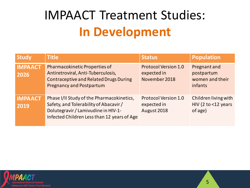## IMPAACT Treatment Studies: **In Development**

| <b>Study</b>           | <b>Title</b>                                                                                                                                                              | <b>Status</b>                                               | <b>Population</b>                                         |
|------------------------|---------------------------------------------------------------------------------------------------------------------------------------------------------------------------|-------------------------------------------------------------|-----------------------------------------------------------|
| <b>IMPAACT</b><br>2026 | Pharmacokinetic Properties of<br>Antiretroviral, Anti-Tuberculosis,<br><b>Contraceptive and Related Drugs During</b><br><b>Pregnancy and Postpartum</b>                   | <b>Protocol Version 1.0</b><br>expected in<br>November 2018 | Pregnant and<br>postpartum<br>women and their<br>infants  |
| <b>IMPAACT</b><br>2019 | Phase I/II Study of the Pharmacokinetics,<br>Safety, and Tolerability of Abacavir /<br>Dolutegravir / Lamivudine in HIV-1-<br>Infected Children Less than 12 years of Age | <b>Protocol Version 1.0</b><br>expected in<br>August 2018   | Children living with<br>HIV (2 to $<$ 12 years<br>of age) |

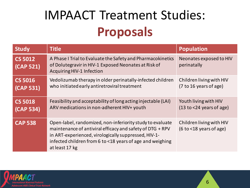## IMPAACT Treatment Studies: **Proposals**

| <b>Study</b>                | <b>Title</b>                                                                                                                                                                                                                                                  | <b>Population</b>                                      |
|-----------------------------|---------------------------------------------------------------------------------------------------------------------------------------------------------------------------------------------------------------------------------------------------------------|--------------------------------------------------------|
| <b>CS 5012</b><br>(CAP 521) | A Phase I Trial to Evaluate the Safety and Pharmacokinetics<br>of Dolutegravir in HIV-1 Exposed Neonates at Risk of<br><b>Acquiring HIV-1 Infection</b>                                                                                                       | Neonates exposed to HIV<br>perinatally                 |
| <b>CS 5016</b><br>(CAP 531) | Vedolizumab therapy in older perinatally-infected children<br>who initiated early antiretroviral treatment                                                                                                                                                    | Children living with HIV<br>(7 to 16 years of age)     |
| <b>CS 5018</b><br>(CAP 534) | Feasibility and acceptability of long acting injectable (LAI)<br>ARV medications in non-adherent HIV+ youth                                                                                                                                                   | Youth living with HIV<br>$(13 to < 24$ years of age)   |
| <b>CAP 538</b>              | Open-label, randomized, non-inferiority study to evaluate<br>maintenance of antiviral efficacy and safety of DTG + RPV<br>in ART-experienced, virologically suppressed, HIV-1-<br>infected children from 6 to <18 years of age and weighing<br>at least 17 kg | Children living with HIV<br>$(6 to < 18$ years of age) |